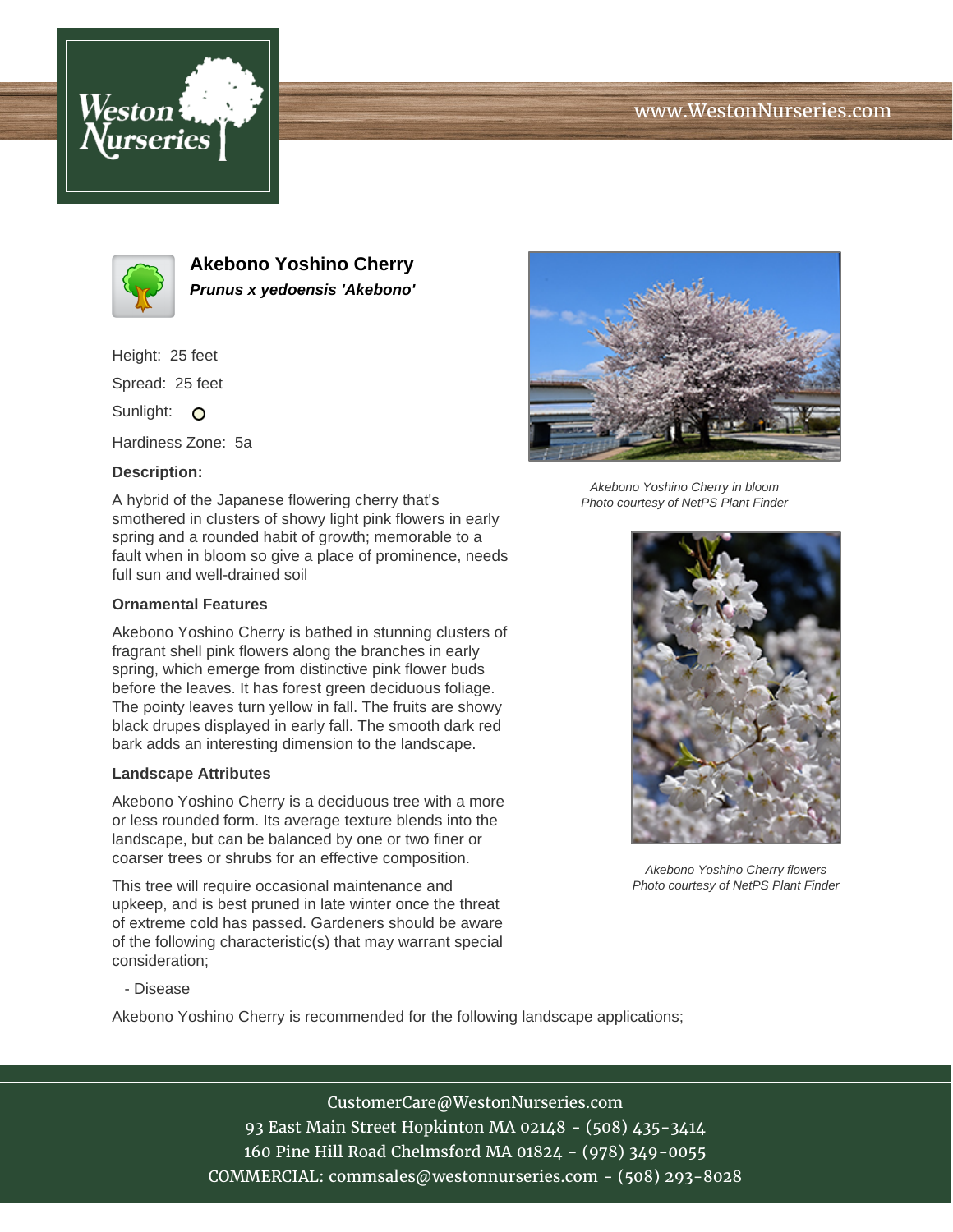





**Akebono Yoshino Cherry Prunus x yedoensis 'Akebono'**

Height: 25 feet

Spread: 25 feet

Sunlight: O

Hardiness Zone: 5a

### **Description:**

A hybrid of the Japanese flowering cherry that's smothered in clusters of showy light pink flowers in early spring and a rounded habit of growth; memorable to a fault when in bloom so give a place of prominence, needs full sun and well-drained soil

#### **Ornamental Features**

Akebono Yoshino Cherry is bathed in stunning clusters of fragrant shell pink flowers along the branches in early spring, which emerge from distinctive pink flower buds before the leaves. It has forest green deciduous foliage. The pointy leaves turn yellow in fall. The fruits are showy black drupes displayed in early fall. The smooth dark red bark adds an interesting dimension to the landscape.

#### **Landscape Attributes**

Akebono Yoshino Cherry is a deciduous tree with a more or less rounded form. Its average texture blends into the landscape, but can be balanced by one or two finer or coarser trees or shrubs for an effective composition.

This tree will require occasional maintenance and upkeep, and is best pruned in late winter once the threat of extreme cold has passed. Gardeners should be aware of the following characteristic(s) that may warrant special consideration;



Akebono Yoshino Cherry in bloom Photo courtesy of NetPS Plant Finder



Akebono Yoshino Cherry flowers Photo courtesy of NetPS Plant Finder

- Disease

Akebono Yoshino Cherry is recommended for the following landscape applications;

# CustomerCare@WestonNurseries.com

93 East Main Street Hopkinton MA 02148 - (508) 435-3414 160 Pine Hill Road Chelmsford MA 01824 - (978) 349-0055 COMMERCIAL: commsales@westonnurseries.com - (508) 293-8028